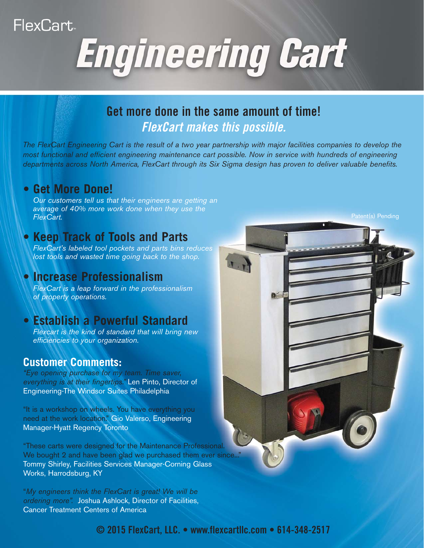# **FlexCart Engineering Cart**

## **Get more done in the same amount of time!**

**FlexCart makes this possible.**

*The FlexCart Engineering Cart is the result of a two year partnership with major facilities companies to develop the most functional and efficient engineering maintenance cart possible. Now in service with hundreds of engineering departments across North America, FlexCart through its Six Sigma design has proven to deliver valuable benefits.* 

## **• Get More Done!**

*Our customers tell us that their engineers are getting an average of 40% more work done when they use the FlexCart.* 

## **• Keep Track of Tools and Parts**

*FlexCart's labeled tool pockets and parts bins reduces lost tools and wasted time going back to the shop.*

## **• Increase Professionalism**

*FlexCart is a leap forward in the professionalism of property operations.*

## **• Establish a Powerful Standard**

*Flexcart is the kind of standard that will bring new efficiencies to your organization.*

## **Customer Comments:**

*"Eye opening purchase for my team. Time saver, everything is at their fingertips."* Len Pinto, Director of Engineering-The Windsor Suites Philadelphia

"It is a workshop on wheels. You have everything you need at the work location." Gio Valerso, Engineering Manager-Hyatt Regency Toronto

"These carts were designed for the Maintenance Professional. We bought 2 and have been glad we purchased them ever since..." Tommy Shirley, Facilities Services Manager-Corning Glass Works, Harrodsburg, KY

"*My engineers think the FlexCart is great! We will be ordering more".* Joshua Ashlock, Director of Facilities, Cancer Treatment Centers of America

**© 2015 FlexCart, LLC. • www.flexcartllc.com • 614-348-2517**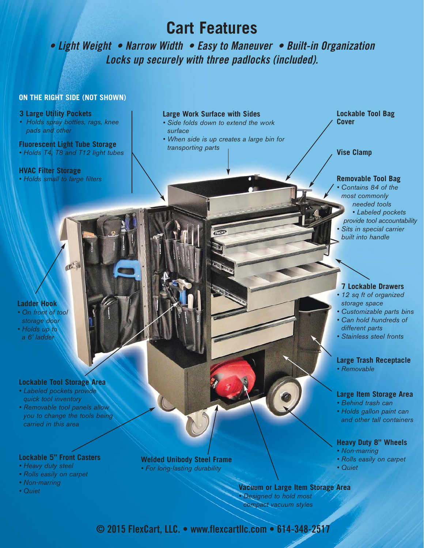## **Cart Features**

**• Light Weight • Narrow Width • Easy to Maneuver • Built-in Organization Locks up securely with three padlocks (included).**

### **ON THE RIGHT SIDE (NOT SHOWN)**

#### **3 Large Utility Pockets**

*• Holds spray bottles, rags, knee pads and other*

#### **Fluorescent Light Tube Storage**

*• Holds T4, T8 and T12 light tubes* 

心神

#### **HVAC Filter Storage**

• Holds small to large filters **Removable Tool Bag** 

#### **Large Work Surface with Sides**

- *Side folds down to extend the work surface*
- *When side is up creates a large bin for transporting parts*

#### **Lockable Tool Bag Cover**

### **Vise Clamp**

*• Contains 84 of the most commonly needed tools • Labeled pockets provide tool accountability • Sits in special carrier built into handle*

#### **Ladder Hook**

- *On front of tool storage door*
- *Holds up to a 6' ladder*

#### **Lockable Tool Storage Area**

- *Labeled pockets provide quick tool inventory*
- *Removable tool panels allow you to change the tools being carried in this area*

#### **Lockable 5" Front Casters**

- *Heavy duty steel*
- *Rolls easily on carpet*
- *Non-marring*
- *Quiet*

**Welded Unibody Steel Frame** *• For long-lasting durability*

#### **7 Lockable Drawers**

- *12 sq ft of organized storage space*
- *Customizable parts bins*
- *Can hold hundreds of different parts*
- *Stainless steel fronts*

#### **Large Trash Receptacle**

*• Removable*

#### **Large Item Storage Area**

- *Behind trash can*
- *Holds gallon paint can and other tall containers*

#### **Heavy Duty 8" Wheels**

- *Non-marring*
- *Rolls easily on carpet*
- *Quiet*

**Vacuum or Large Item Storage Area** *• Designed to hold most compact vacuum styles*

## **© 2015 FlexCart, LLC. • www.flexcartllc.com • 614-348-2517**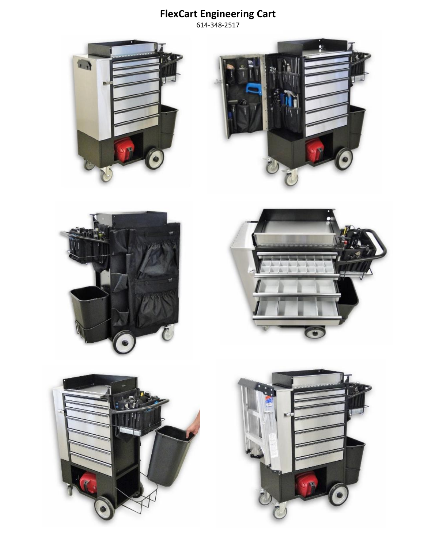## **FlexCart Engineering Cart**

614-348-2517